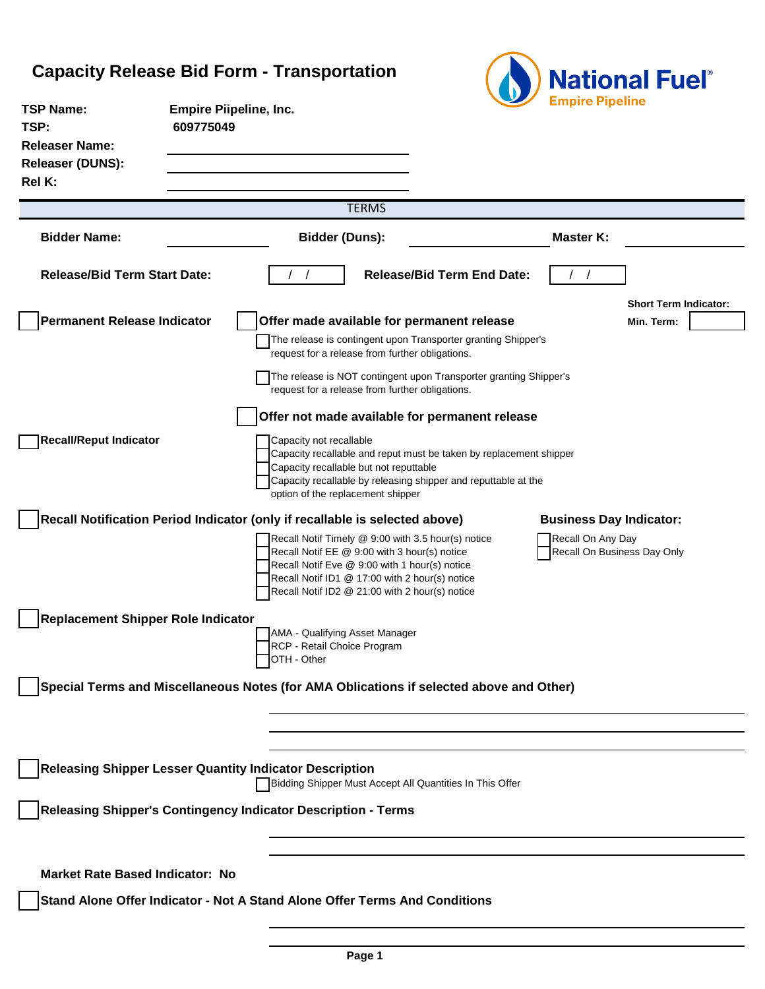## **Capacity Release Bid Form - Transportation**



| <b>TSP Name:</b><br>TSP:                                                                | <b>Empire Piipeline, Inc.</b><br>609775049 |                                                                                                                                                                                                   |              |                                                                                                                                      | <b>Empire Pipeline</b> |                                |
|-----------------------------------------------------------------------------------------|--------------------------------------------|---------------------------------------------------------------------------------------------------------------------------------------------------------------------------------------------------|--------------|--------------------------------------------------------------------------------------------------------------------------------------|------------------------|--------------------------------|
| <b>Releaser Name:</b>                                                                   |                                            |                                                                                                                                                                                                   |              |                                                                                                                                      |                        |                                |
| <b>Releaser (DUNS):</b>                                                                 |                                            |                                                                                                                                                                                                   |              |                                                                                                                                      |                        |                                |
| Rel K:                                                                                  |                                            |                                                                                                                                                                                                   |              |                                                                                                                                      |                        |                                |
|                                                                                         |                                            |                                                                                                                                                                                                   | <b>TERMS</b> |                                                                                                                                      |                        |                                |
| <b>Bidder Name:</b>                                                                     |                                            | <b>Bidder (Duns):</b>                                                                                                                                                                             |              |                                                                                                                                      | <b>Master K:</b>       |                                |
| <b>Release/Bid Term Start Date:</b>                                                     |                                            |                                                                                                                                                                                                   |              | <b>Release/Bid Term End Date:</b>                                                                                                    |                        |                                |
|                                                                                         |                                            |                                                                                                                                                                                                   |              |                                                                                                                                      |                        | <b>Short Term Indicator:</b>   |
| <b>Permanent Release Indicator</b>                                                      |                                            |                                                                                                                                                                                                   |              | Offer made available for permanent release                                                                                           |                        | Min. Term:                     |
|                                                                                         |                                            | request for a release from further obligations.                                                                                                                                                   |              | The release is contingent upon Transporter granting Shipper's                                                                        |                        |                                |
|                                                                                         |                                            | request for a release from further obligations.                                                                                                                                                   |              | The release is NOT contingent upon Transporter granting Shipper's                                                                    |                        |                                |
|                                                                                         |                                            |                                                                                                                                                                                                   |              | Offer not made available for permanent release                                                                                       |                        |                                |
| <b>Recall/Reput Indicator</b>                                                           |                                            | Capacity not recallable<br>Capacity recallable but not reputtable<br>option of the replacement shipper                                                                                            |              | Capacity recallable and reput must be taken by replacement shipper<br>Capacity recallable by releasing shipper and reputtable at the |                        |                                |
| Recall Notification Period Indicator (only if recallable is selected above)             |                                            |                                                                                                                                                                                                   |              |                                                                                                                                      |                        | <b>Business Day Indicator:</b> |
|                                                                                         |                                            | Recall Notif EE @ 9:00 with 3 hour(s) notice<br>Recall Notif Eve @ 9:00 with 1 hour(s) notice<br>Recall Notif ID1 @ 17:00 with 2 hour(s) notice<br>Recall Notif ID2 @ 21:00 with 2 hour(s) notice |              | Recall Notif Timely @ 9:00 with 3.5 hour(s) notice                                                                                   | Recall On Any Day      | Recall On Business Day Only    |
| <b>Replacement Shipper Role Indicator</b>                                               |                                            |                                                                                                                                                                                                   |              |                                                                                                                                      |                        |                                |
|                                                                                         |                                            | AMA - Qualifying Asset Manager<br>RCP - Retail Choice Program<br>OTH - Other                                                                                                                      |              |                                                                                                                                      |                        |                                |
| Special Terms and Miscellaneous Notes (for AMA Oblications if selected above and Other) |                                            |                                                                                                                                                                                                   |              |                                                                                                                                      |                        |                                |
|                                                                                         |                                            |                                                                                                                                                                                                   |              |                                                                                                                                      |                        |                                |
|                                                                                         |                                            |                                                                                                                                                                                                   |              |                                                                                                                                      |                        |                                |
| <b>Releasing Shipper Lesser Quantity Indicator Description</b>                          |                                            |                                                                                                                                                                                                   |              | Bidding Shipper Must Accept All Quantities In This Offer                                                                             |                        |                                |
| Releasing Shipper's Contingency Indicator Description - Terms                           |                                            |                                                                                                                                                                                                   |              |                                                                                                                                      |                        |                                |
|                                                                                         |                                            |                                                                                                                                                                                                   |              |                                                                                                                                      |                        |                                |
| <b>Market Rate Based Indicator: No</b>                                                  |                                            |                                                                                                                                                                                                   |              |                                                                                                                                      |                        |                                |
| Stand Alone Offer Indicator - Not A Stand Alone Offer Terms And Conditions              |                                            |                                                                                                                                                                                                   |              |                                                                                                                                      |                        |                                |
|                                                                                         |                                            |                                                                                                                                                                                                   |              |                                                                                                                                      |                        |                                |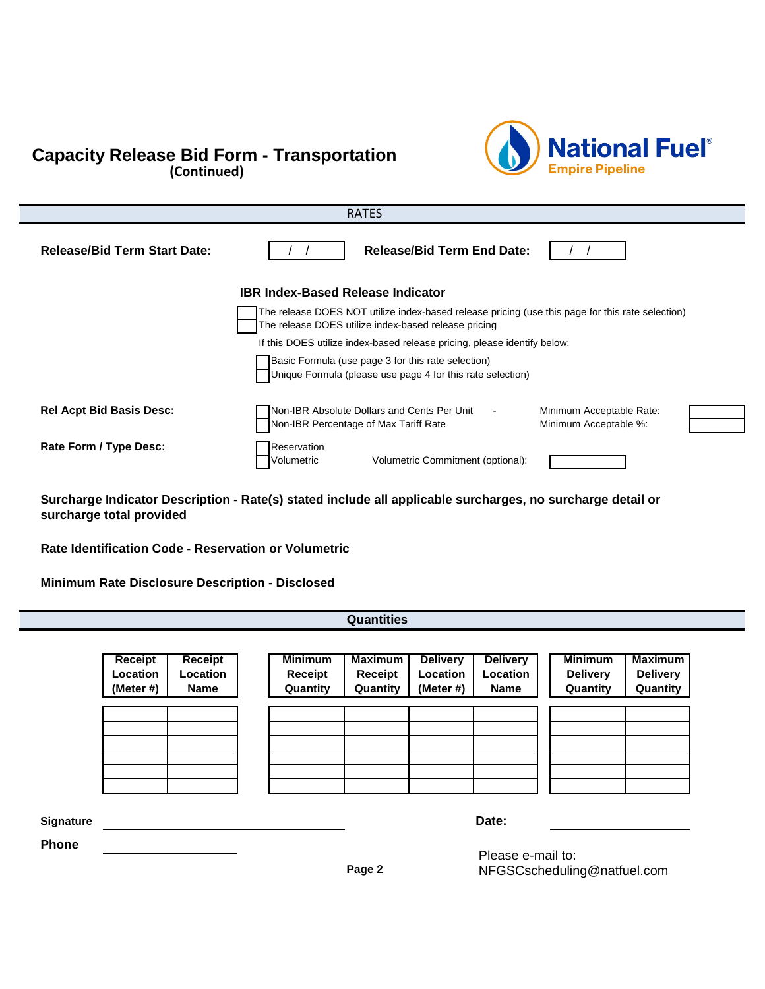## **Capacity Release Bid Form - Transportation** (Continued)



| <b>RATES</b>                        |                                                                                                                                                             |  |  |  |
|-------------------------------------|-------------------------------------------------------------------------------------------------------------------------------------------------------------|--|--|--|
| <b>Release/Bid Term Start Date:</b> | <b>Release/Bid Term End Date:</b>                                                                                                                           |  |  |  |
|                                     | <b>IBR Index-Based Release Indicator</b>                                                                                                                    |  |  |  |
|                                     | The release DOES NOT utilize index-based release pricing (use this page for this rate selection)<br>The release DOES utilize index-based release pricing    |  |  |  |
|                                     | If this DOES utilize index-based release pricing, please identify below:                                                                                    |  |  |  |
|                                     | Basic Formula (use page 3 for this rate selection)<br>Unique Formula (please use page 4 for this rate selection)                                            |  |  |  |
| <b>Rel Acpt Bid Basis Desc:</b>     | Non-IBR Absolute Dollars and Cents Per Unit<br>Minimum Acceptable Rate:<br>$\blacksquare$<br>Non-IBR Percentage of Max Tariff Rate<br>Minimum Acceptable %: |  |  |  |
| Rate Form / Type Desc:              | Reservation<br>Volumetric Commitment (optional):<br>Volumetric                                                                                              |  |  |  |

**Surcharge Indicator Description - Rate(s) stated include all applicable surcharges, no surcharge detail or surcharge total provided**

**Rate Identification Code - Reservation or Volumetric**

**Minimum Rate Disclosure Description - Disclosed**

|              |                                     |                                           |                                       | <b>Quantities</b>                     |                                          |                                            |                                               |                                               |
|--------------|-------------------------------------|-------------------------------------------|---------------------------------------|---------------------------------------|------------------------------------------|--------------------------------------------|-----------------------------------------------|-----------------------------------------------|
|              |                                     |                                           |                                       |                                       |                                          |                                            |                                               |                                               |
|              | Receipt<br>Location<br>(Meter $#$ ) | Receipt<br><b>Location</b><br><b>Name</b> | <b>Minimum</b><br>Receipt<br>Quantity | <b>Maximum</b><br>Receipt<br>Quantity | <b>Delivery</b><br>Location<br>(Meter #) | <b>Delivery</b><br>Location<br><b>Name</b> | <b>Minimum</b><br><b>Delivery</b><br>Quantity | <b>Maximum</b><br><b>Delivery</b><br>Quantity |
|              |                                     |                                           |                                       |                                       |                                          |                                            |                                               |                                               |
|              |                                     |                                           |                                       |                                       |                                          |                                            |                                               |                                               |
|              |                                     |                                           |                                       |                                       |                                          |                                            |                                               |                                               |
|              |                                     |                                           |                                       |                                       |                                          |                                            |                                               |                                               |
| Signature    |                                     |                                           |                                       |                                       |                                          | Date:                                      |                                               |                                               |
| <b>Phone</b> |                                     |                                           |                                       |                                       |                                          | Please e-mail to:                          |                                               |                                               |

Please e-mail to: NFGSCscheduling@natfuel.com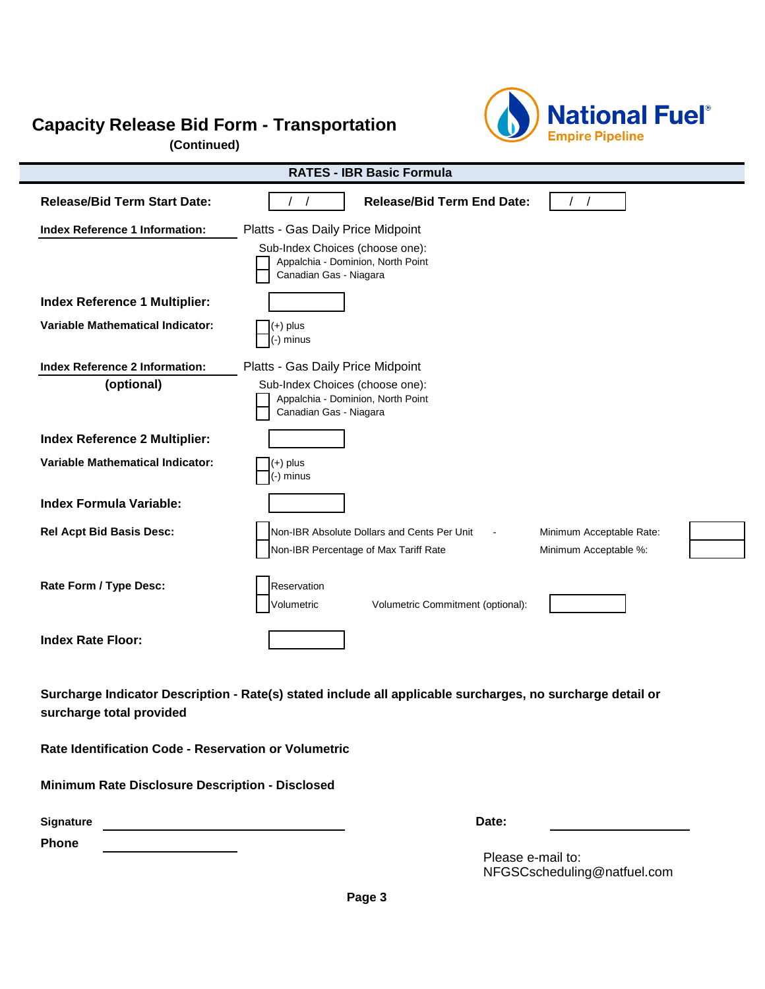## **Capacity Release Bid Form - Transportation**

**(Continued)**



|                                         | <b>RATES - IBR Basic Formula</b>                                                                           |
|-----------------------------------------|------------------------------------------------------------------------------------------------------------|
| <b>Release/Bid Term Start Date:</b>     | <b>Release/Bid Term End Date:</b>                                                                          |
| <b>Index Reference 1 Information:</b>   | Platts - Gas Daily Price Midpoint                                                                          |
|                                         | Sub-Index Choices (choose one):<br>Appalchia - Dominion, North Point<br>Canadian Gas - Niagara             |
| <b>Index Reference 1 Multiplier:</b>    |                                                                                                            |
| <b>Variable Mathematical Indicator:</b> | $(+)$ plus<br>(-) minus                                                                                    |
| <b>Index Reference 2 Information:</b>   | Platts - Gas Daily Price Midpoint                                                                          |
| (optional)                              | Sub-Index Choices (choose one):<br>Appalchia - Dominion, North Point<br>Canadian Gas - Niagara             |
| Index Reference 2 Multiplier:           |                                                                                                            |
| <b>Variable Mathematical Indicator:</b> | $(+)$ plus<br>(-) minus                                                                                    |
| <b>Index Formula Variable:</b>          |                                                                                                            |
| <b>Rel Acpt Bid Basis Desc:</b>         | Non-IBR Absolute Dollars and Cents Per Unit<br>Minimum Acceptable Rate:                                    |
|                                         | Non-IBR Percentage of Max Tariff Rate<br>Minimum Acceptable %:                                             |
| Rate Form / Type Desc:                  | Reservation<br>Volumetric<br>Volumetric Commitment (optional):                                             |
| <b>Index Rate Floor:</b>                |                                                                                                            |
| surcharge total provided                | Surcharge Indicator Description - Rate(s) stated include all applicable surcharges, no surcharge detail or |

**Rate Identification Code - Reservation or Volumetric**

**Minimum Rate Disclosure Description - Disclosed**

| <b>Signature</b> | Date: |
|------------------|-------|
|                  |       |

**Phone Place Fax To: 716-827-2378** 

Please e-mail to: NFGSCscheduling@natfuel.com